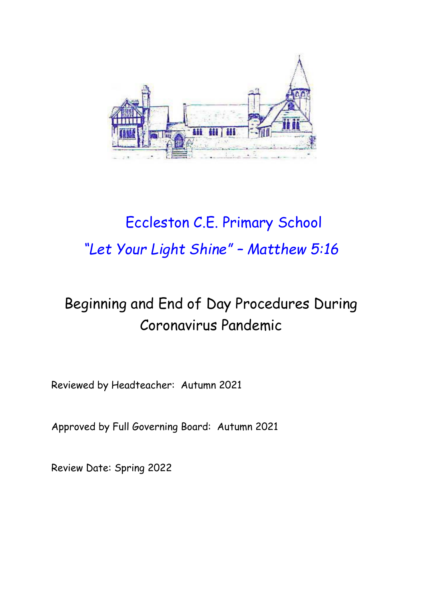

# Eccleston C.E. Primary School *"Let Your Light Shine" – Matthew 5:16*

# Beginning and End of Day Procedures During Coronavirus Pandemic

Reviewed by Headteacher: Autumn 2021

Approved by Full Governing Board: Autumn 2021

Review Date: Spring 2022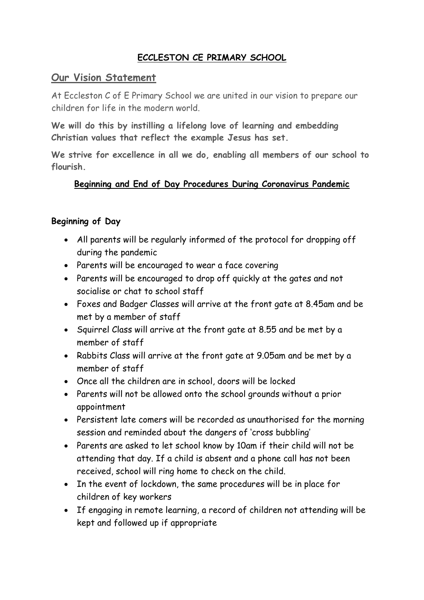# **ECCLESTON CE PRIMARY SCHOOL**

#### **Our Vision Statement**

At Eccleston C of E Primary School we are united in our vision to prepare our children for life in the modern world.

**We will do this by instilling a lifelong love of learning and embedding Christian values that reflect the example Jesus has set.**

**We strive for excellence in all we do, enabling all members of our school to flourish.**

# **Beginning and End of Day Procedures During Coronavirus Pandemic**

#### **Beginning of Day**

- All parents will be regularly informed of the protocol for dropping off during the pandemic
- Parents will be encouraged to wear a face covering
- Parents will be encouraged to drop off quickly at the gates and not socialise or chat to school staff
- Foxes and Badger Classes will arrive at the front gate at 8.45am and be met by a member of staff
- Squirrel Class will arrive at the front gate at 8.55 and be met by a member of staff
- Rabbits Class will arrive at the front gate at 9.05am and be met by a member of staff
- Once all the children are in school, doors will be locked
- Parents will not be allowed onto the school grounds without a prior appointment
- Persistent late comers will be recorded as unauthorised for the morning session and reminded about the dangers of 'cross bubbling'
- Parents are asked to let school know by 10am if their child will not be attending that day. If a child is absent and a phone call has not been received, school will ring home to check on the child.
- In the event of lockdown, the same procedures will be in place for children of key workers
- If engaging in remote learning, a record of children not attending will be kept and followed up if appropriate